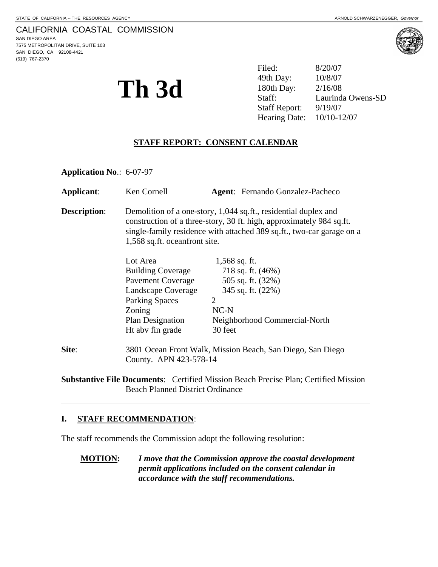# CALIFORNIA COASTAL COMMISSION

SAN DIEGO AREA 7575 METROPOLITAN DRIVE, SUITE 103 SAN DIEGO, CA 92108-4421 (619) 767-2370



**Th 3d**  $\sum_{\text{staff:}}$   $\sum_{\text{180th Day:}}$   $\sum_{\text{2/16/08}}$   $\sum_{\text{Laurind}}$  Filed: 8/20/07 49th Day: Laurinda Owens-SD Staff Report: 9/19/07 Hearing Date: 10/10-12/07

# **STAFF REPORT: CONSENT CALENDAR**

**Application No**.: 6-07-97

| Applicant:          | Ken Cornell                                                                                                                                                                                                                                       | <b>Agent:</b> Fernando Gonzalez-Pacheco                    |  |
|---------------------|---------------------------------------------------------------------------------------------------------------------------------------------------------------------------------------------------------------------------------------------------|------------------------------------------------------------|--|
| <b>Description:</b> | Demolition of a one-story, 1,044 sq.ft., residential duplex and<br>construction of a three-story, 30 ft. high, approximately 984 sq.ft.<br>single-family residence with attached 389 sq.ft., two-car garage on a<br>1,568 sq.ft. oceanfront site. |                                                            |  |
|                     | Lot Area                                                                                                                                                                                                                                          | $1,568$ sq. ft.                                            |  |
|                     | <b>Building Coverage</b>                                                                                                                                                                                                                          | 718 sq. ft. $(46%)$                                        |  |
|                     | <b>Pavement Coverage</b>                                                                                                                                                                                                                          | 505 sq. ft. (32%)                                          |  |
|                     | Landscape Coverage                                                                                                                                                                                                                                | 345 sq. ft. (22%)                                          |  |
|                     | <b>Parking Spaces</b>                                                                                                                                                                                                                             | 2                                                          |  |
|                     | Zoning                                                                                                                                                                                                                                            | $NC-N$                                                     |  |
|                     | Plan Designation                                                                                                                                                                                                                                  | Neighborhood Commercial-North                              |  |
|                     | Ht aby fin grade                                                                                                                                                                                                                                  | 30 feet                                                    |  |
| Site:               | County. APN 423-578-14                                                                                                                                                                                                                            | 3801 Ocean Front Walk, Mission Beach, San Diego, San Diego |  |

**Substantive File Documents**: Certified Mission Beach Precise Plan; Certified Mission Beach Planned District Ordinance

## **I. STAFF RECOMMENDATION**:

 $\overline{a}$ 

The staff recommends the Commission adopt the following resolution:

**MOTION:** *I move that the Commission approve the coastal development permit applications included on the consent calendar in accordance with the staff recommendations.*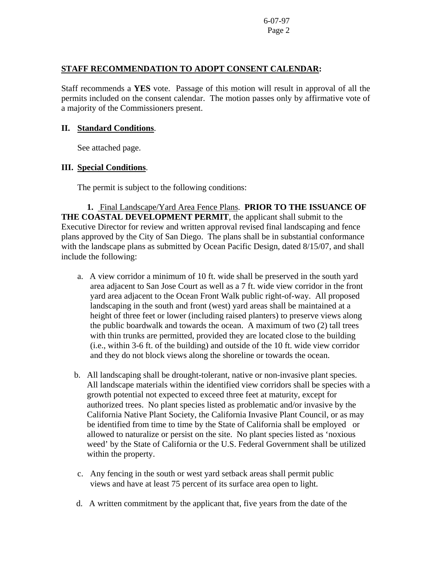## **STAFF RECOMMENDATION TO ADOPT CONSENT CALENDAR:**

Staff recommends a **YES** vote. Passage of this motion will result in approval of all the permits included on the consent calendar. The motion passes only by affirmative vote of a majority of the Commissioners present.

### **II. Standard Conditions**.

See attached page.

## **III. Special Conditions**.

The permit is subject to the following conditions:

 **1.** Final Landscape/Yard Area Fence Plans. **PRIOR TO THE ISSUANCE OF THE COASTAL DEVELOPMENT PERMIT**, the applicant shall submit to the Executive Director for review and written approval revised final landscaping and fence plans approved by the City of San Diego. The plans shall be in substantial conformance with the landscape plans as submitted by Ocean Pacific Design, dated 8/15/07, and shall include the following:

- a. A view corridor a minimum of 10 ft. wide shall be preserved in the south yard area adjacent to San Jose Court as well as a 7 ft. wide view corridor in the front yard area adjacent to the Ocean Front Walk public right-of-way. All proposed landscaping in the south and front (west) yard areas shall be maintained at a height of three feet or lower (including raised planters) to preserve views along the public boardwalk and towards the ocean. A maximum of two (2) tall trees with thin trunks are permitted, provided they are located close to the building (i.e., within 3-6 ft. of the building) and outside of the 10 ft. wide view corridor and they do not block views along the shoreline or towards the ocean.
- b. All landscaping shall be drought-tolerant, native or non-invasive plant species. All landscape materials within the identified view corridors shall be species with a growth potential not expected to exceed three feet at maturity, except for authorized trees. No plant species listed as problematic and/or invasive by the California Native Plant Society, the California Invasive Plant Council, or as may be identified from time to time by the State of California shall be employed or allowed to naturalize or persist on the site. No plant species listed as 'noxious weed' by the State of California or the U.S. Federal Government shall be utilized within the property.
- c. Any fencing in the south or west yard setback areas shall permit public views and have at least 75 percent of its surface area open to light.
- d. A written commitment by the applicant that, five years from the date of the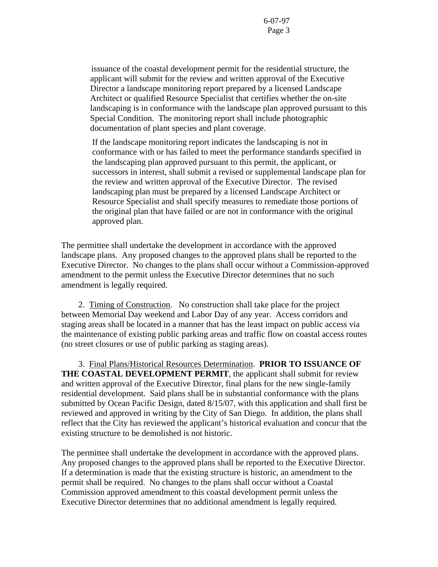issuance of the coastal development permit for the residential structure, the applicant will submit for the review and written approval of the Executive Director a landscape monitoring report prepared by a licensed Landscape Architect or qualified Resource Specialist that certifies whether the on-site landscaping is in conformance with the landscape plan approved pursuant to this Special Condition. The monitoring report shall include photographic documentation of plant species and plant coverage.

If the landscape monitoring report indicates the landscaping is not in conformance with or has failed to meet the performance standards specified in the landscaping plan approved pursuant to this permit, the applicant, or successors in interest, shall submit a revised or supplemental landscape plan for the review and written approval of the Executive Director. The revised landscaping plan must be prepared by a licensed Landscape Architect or Resource Specialist and shall specify measures to remediate those portions of the original plan that have failed or are not in conformance with the original approved plan.

The permittee shall undertake the development in accordance with the approved landscape plans. Any proposed changes to the approved plans shall be reported to the Executive Director. No changes to the plans shall occur without a Commission-approved amendment to the permit unless the Executive Director determines that no such amendment is legally required.

 2. Timing of Construction.No construction shall take place for the project between Memorial Day weekend and Labor Day of any year. Access corridors and staging areas shall be located in a manner that has the least impact on public access via the maintenance of existing public parking areas and traffic flow on coastal access routes (no street closures or use of public parking as staging areas).

3. Final Plans/Historical Resources Determination. **PRIOR TO ISSUANCE OF THE COASTAL DEVELOPMENT PERMIT**, the applicant shall submit for review and written approval of the Executive Director, final plans for the new single-family residential development. Said plans shall be in substantial conformance with the plans submitted by Ocean Pacific Design, dated 8/15/07, with this application and shall first be reviewed and approved in writing by the City of San Diego. In addition, the plans shall reflect that the City has reviewed the applicant's historical evaluation and concur that the existing structure to be demolished is not historic.

The permittee shall undertake the development in accordance with the approved plans. Any proposed changes to the approved plans shall be reported to the Executive Director. If a determination is made that the existing structure is historic, an amendment to the permit shall be required. No changes to the plans shall occur without a Coastal Commission approved amendment to this coastal development permit unless the Executive Director determines that no additional amendment is legally required.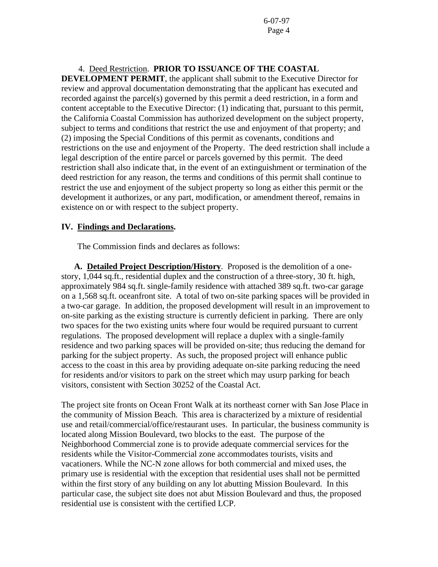4.Deed Restriction. **PRIOR TO ISSUANCE OF THE COASTAL** 

**DEVELOPMENT PERMIT**, the applicant shall submit to the Executive Director for review and approval documentation demonstrating that the applicant has executed and recorded against the parcel(s) governed by this permit a deed restriction, in a form and content acceptable to the Executive Director: (1) indicating that, pursuant to this permit, the California Coastal Commission has authorized development on the subject property, subject to terms and conditions that restrict the use and enjoyment of that property; and (2) imposing the Special Conditions of this permit as covenants, conditions and restrictions on the use and enjoyment of the Property. The deed restriction shall include a legal description of the entire parcel or parcels governed by this permit. The deed restriction shall also indicate that, in the event of an extinguishment or termination of the deed restriction for any reason, the terms and conditions of this permit shall continue to restrict the use and enjoyment of the subject property so long as either this permit or the development it authorizes, or any part, modification, or amendment thereof, remains in existence on or with respect to the subject property.

#### **IV. Findings and Declarations.**

The Commission finds and declares as follows:

**A. Detailed Project Description/History**. Proposed is the demolition of a onestory, 1,044 sq.ft., residential duplex and the construction of a three-story, 30 ft. high, approximately 984 sq.ft. single-family residence with attached 389 sq.ft. two-car garage on a 1,568 sq.ft. oceanfront site. A total of two on-site parking spaces will be provided in a two-car garage. In addition, the proposed development will result in an improvement to on-site parking as the existing structure is currently deficient in parking. There are only two spaces for the two existing units where four would be required pursuant to current regulations. The proposed development will replace a duplex with a single-family residence and two parking spaces will be provided on-site; thus reducing the demand for parking for the subject property. As such, the proposed project will enhance public access to the coast in this area by providing adequate on-site parking reducing the need for residents and/or visitors to park on the street which may usurp parking for beach visitors, consistent with Section 30252 of the Coastal Act.

The project site fronts on Ocean Front Walk at its northeast corner with San Jose Place in the community of Mission Beach. This area is characterized by a mixture of residential use and retail/commercial/office/restaurant uses. In particular, the business community is located along Mission Boulevard, two blocks to the east. The purpose of the Neighborhood Commercial zone is to provide adequate commercial services for the residents while the Visitor-Commercial zone accommodates tourists, visits and vacationers. While the NC-N zone allows for both commercial and mixed uses, the primary use is residential with the exception that residential uses shall not be permitted within the first story of any building on any lot abutting Mission Boulevard. In this particular case, the subject site does not abut Mission Boulevard and thus, the proposed residential use is consistent with the certified LCP.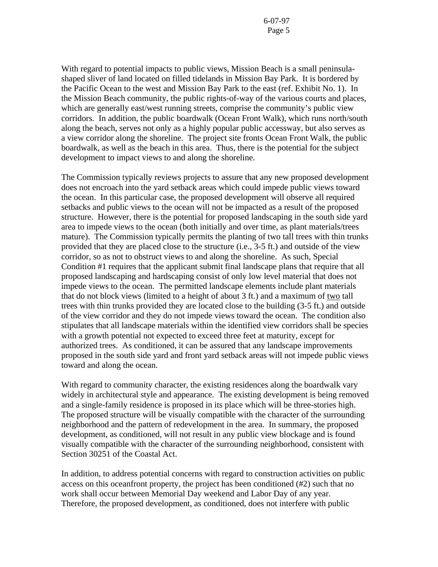With regard to potential impacts to public views, Mission Beach is a small peninsulashaped sliver of land located on filled tidelands in Mission Bay Park. It is bordered by the Pacific Ocean to the west and Mission Bay Park to the east (ref. Exhibit No. 1). In the Mission Beach community, the public rights-of-way of the various courts and places, which are generally east/west running streets, comprise the community's public view corridors. In addition, the public boardwalk (Ocean Front Walk), which runs north/south along the beach, serves not only as a highly popular public accessway, but also serves as a view corridor along the shoreline. The project site fronts Ocean Front Walk, the public boardwalk, as well as the beach in this area. Thus, there is the potential for the subject development to impact views to and along the shoreline.

The Commission typically reviews projects to assure that any new proposed development does not encroach into the yard setback areas which could impede public views toward the ocean. In this particular case, the proposed development will observe all required setbacks and public views to the ocean will not be impacted as a result of the proposed structure. However, there is the potential for proposed landscaping in the south side yard area to impede views to the ocean (both initially and over time, as plant materials/trees mature). The Commission typically permits the planting of two tall trees with thin trunks provided that they are placed close to the structure (i.e., 3-5 ft.) and outside of the view corridor, so as not to obstruct views to and along the shoreline. As such, Special Condition #1 requires that the applicant submit final landscape plans that require that all proposed landscaping and hardscaping consist of only low level material that does not impede views to the ocean. The permitted landscape elements include plant materials that do not block views (limited to a height of about 3 ft.) and a maximum of two tall trees with thin trunks provided they are located close to the building (3-5 ft.) and outside of the view corridor and they do not impede views toward the ocean. The condition also stipulates that all landscape materials within the identified view corridors shall be species with a growth potential not expected to exceed three feet at maturity, except for authorized trees. As conditioned, it can be assured that any landscape improvements proposed in the south side yard and front yard setback areas will not impede public views toward and along the ocean.

With regard to community character, the existing residences along the boardwalk vary widely in architectural style and appearance. The existing development is being removed and a single-family residence is proposed in its place which will be three-stories high. The proposed structure will be visually compatible with the character of the surrounding neighborhood and the pattern of redevelopment in the area. In summary, the proposed development, as conditioned, will not result in any public view blockage and is found visually compatible with the character of the surrounding neighborhood, consistent with Section 30251 of the Coastal Act.

In addition, to address potential concerns with regard to construction activities on public access on this oceanfront property, the project has been conditioned (#2) such that no work shall occur between Memorial Day weekend and Labor Day of any year. Therefore, the proposed development, as conditioned, does not interfere with public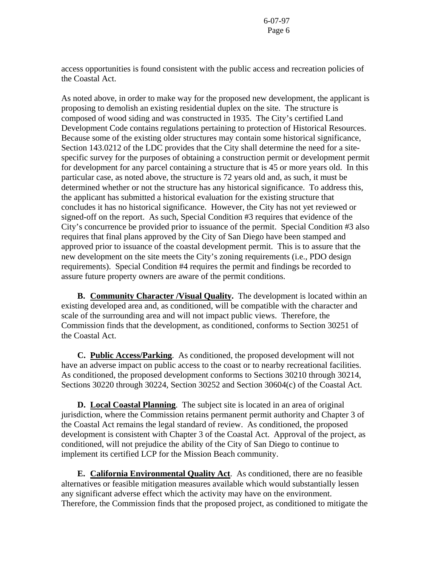access opportunities is found consistent with the public access and recreation policies of the Coastal Act.

As noted above, in order to make way for the proposed new development, the applicant is proposing to demolish an existing residential duplex on the site. The structure is composed of wood siding and was constructed in 1935. The City's certified Land Development Code contains regulations pertaining to protection of Historical Resources. Because some of the existing older structures may contain some historical significance, Section 143.0212 of the LDC provides that the City shall determine the need for a sitespecific survey for the purposes of obtaining a construction permit or development permit for development for any parcel containing a structure that is 45 or more years old. In this particular case, as noted above, the structure is 72 years old and, as such, it must be determined whether or not the structure has any historical significance. To address this, the applicant has submitted a historical evaluation for the existing structure that concludes it has no historical significance. However, the City has not yet reviewed or signed-off on the report. As such, Special Condition #3 requires that evidence of the City's concurrence be provided prior to issuance of the permit. Special Condition #3 also requires that final plans approved by the City of San Diego have been stamped and approved prior to issuance of the coastal development permit. This is to assure that the new development on the site meets the City's zoning requirements (i.e., PDO design requirements). Special Condition #4 requires the permit and findings be recorded to assure future property owners are aware of the permit conditions.

 **B. Community Character /Visual Quality.** The development is located within an existing developed area and, as conditioned, will be compatible with the character and scale of the surrounding area and will not impact public views. Therefore, the Commission finds that the development, as conditioned, conforms to Section 30251 of the Coastal Act.

**C. Public Access/Parking**. As conditioned, the proposed development will not have an adverse impact on public access to the coast or to nearby recreational facilities. As conditioned, the proposed development conforms to Sections 30210 through 30214, Sections 30220 through 30224, Section 30252 and Section 30604(c) of the Coastal Act.

**D.** Local Coastal Planning. The subject site is located in an area of original jurisdiction, where the Commission retains permanent permit authority and Chapter 3 of the Coastal Act remains the legal standard of review. As conditioned, the proposed development is consistent with Chapter 3 of the Coastal Act. Approval of the project, as conditioned, will not prejudice the ability of the City of San Diego to continue to implement its certified LCP for the Mission Beach community.

 **E. California Environmental Quality Act**. As conditioned, there are no feasible alternatives or feasible mitigation measures available which would substantially lessen any significant adverse effect which the activity may have on the environment. Therefore, the Commission finds that the proposed project, as conditioned to mitigate the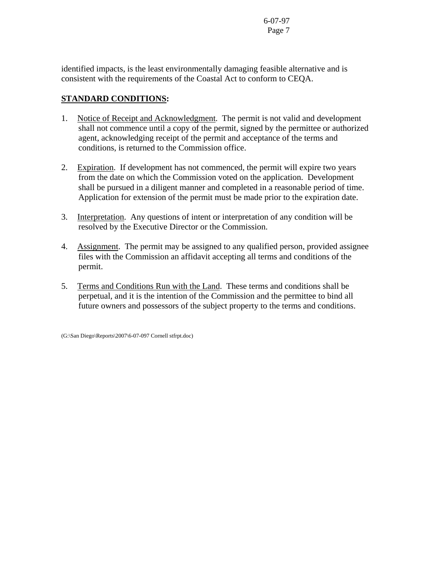identified impacts, is the least environmentally damaging feasible alternative and is consistent with the requirements of the Coastal Act to conform to CEQA.

# **STANDARD CONDITIONS:**

- 1. Notice of Receipt and Acknowledgment. The permit is not valid and development shall not commence until a copy of the permit, signed by the permittee or authorized agent, acknowledging receipt of the permit and acceptance of the terms and conditions, is returned to the Commission office.
- 2. Expiration. If development has not commenced, the permit will expire two years from the date on which the Commission voted on the application. Development shall be pursued in a diligent manner and completed in a reasonable period of time. Application for extension of the permit must be made prior to the expiration date.
- 3. Interpretation. Any questions of intent or interpretation of any condition will be resolved by the Executive Director or the Commission.
- 4. Assignment. The permit may be assigned to any qualified person, provided assignee files with the Commission an affidavit accepting all terms and conditions of the permit.
- 5. Terms and Conditions Run with the Land. These terms and conditions shall be perpetual, and it is the intention of the Commission and the permittee to bind all future owners and possessors of the subject property to the terms and conditions.

(G:\San Diego\Reports\2007\6-07-097 Cornell stfrpt.doc)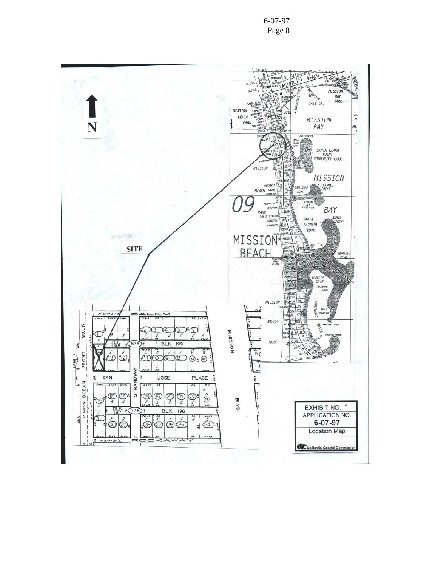6-07-97 Page 8